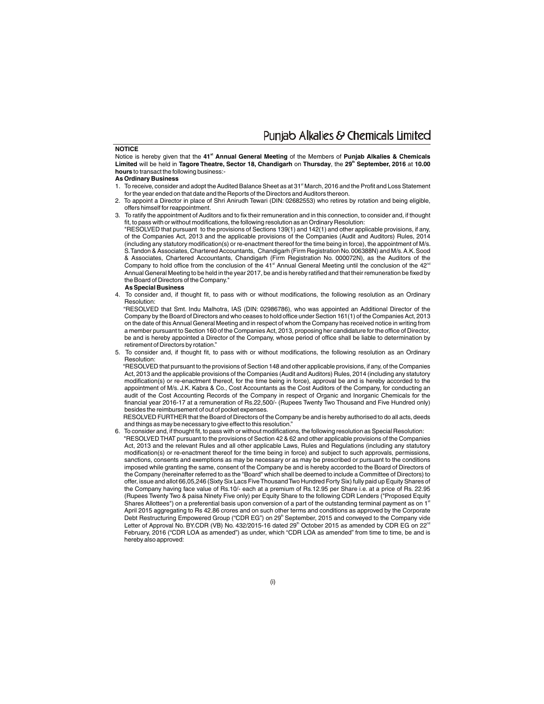Punjab Alkalies & Chemicals Limited

#### **NOTICE**

**st** Notice is hereby given that the **41 Annual General Meeting** of the Members of **Punjab Alkalies & Chemicals th Limited** will be held in **Tagore Theatre, Sector 18, Chandigarh** on **Thursday**, the **29 September, 2016** at **10.00 hours** to transact the following business:-

#### **As Ordinary Business**

- 1. To receive, consider and adopt the Audited Balance Sheet as at 31<sup>st</sup> March, 2016 and the Profit and Loss Statement for the year ended on that date and the Reports of the Directors and Auditors thereon.
- 2. To appoint a Director in place of Shri Anirudh Tewari (DIN: 02682553) who retires by rotation and being eligible, offers himself for reappointment.
- 3. To ratify the appointment of Auditors and to fix their remuneration and in this connection, to consider and, if thought fit, to pass with or without modifications, the following resolution as an Ordinary Resolution:

"RESOLVED that pursuant to the provisions of Sections 139(1) and 142(1) and other applicable provisions, if any, of the Companies Act, 2013 and the applicable provisions of the Companies (Audit and Auditors) Rules, 2014 (including any statutory modification(s) or re-enactment thereof for the time being in force), the appointment of M/s. S.Tandon & Associates, Chartered Accountants, Chandigarh (Firm Registration No.006388N) and M/s.A.K.Sood & Associates, Chartered Accountants, Chandigarh (Firm Registration No. 000072N), as the Auditors of the Company to hold office from the conclusion of the 41<sup><sup>th</sup></sup> Annual General Meeting until the conclusion of the 42<sup>nd</sup> Annual General Meeting to be held in the year 2017, be and is hereby ratified and that their remuneration be fixed by the Board of Directors of the Company."

#### **As Special Business**

4. To consider and, if thought fit, to pass with or without modifications, the following resolution as an Ordinary Resolution:

"RESOLVED that Smt. Indu Malhotra, IAS (DIN: 02986786), who was appointed an Additional Director of the Company by the Board of Directors and who ceases to hold office under Section 161(1) of the Companies Act, 2013 on the date of this Annual General Meeting and in respect of whom the Company has received notice in writing from a member pursuant to Section 160 of the Companies Act, 2013, proposing her candidature for the office of Director, be and is hereby appointed a Director of the Company, whose period of office shall be liable to determination by retirement of Directors by rotation."

5. To consider and, if thought fit, to pass with or without modifications, the following resolution as an Ordinary Resolution:

 "RESOLVED that pursuant to the provisions of Section 148 and other applicable provisions, if any, of the Companies Act, 2013 and the applicable provisions of the Companies (Audit and Auditors) Rules, 2014 (including any statutory modification(s) or re-enactment thereof, for the time being in force), approval be and is hereby accorded to the appointment of M/s. J.K. Kabra & Co., Cost Accountants as the Cost Auditors of the Company, for conducting an audit of the Cost Accounting Records of the Company in respect of Organic and Inorganic Chemicals for the financial year 2016-17 at a remuneration of Rs.22,500/- (Rupees Twenty Two Thousand and Five Hundred only) besides the reimbursement of out of pocket expenses.

 RESOLVED FURTHER that the Board of Directors of the Company be and is hereby authorised to do all acts, deeds and things as may be necessary to give effect to this resolution.

6. To consider and, if thought fit, to pass with or without modifications, the following resolution as Special Resolution: "RESOLVED THAT pursuant to the provisions of Section 42 & 62 and other applicable provisions of the Companies Act, 2013 and the relevant Rules and all other applicable Laws, Rules and Regulations (including any statutory modification(s) or re-enactment thereof for the time being in force) and subject to such approvals, permissions, sanctions, consents and exemptions as may be necessary or as may be prescribed or pursuant to the conditions imposed while granting the same, consent of the Company be and is hereby accorded to the Board of Directors of the Company (hereinafter referred to as the "Board" which shall be deemed to include a Committee of Directors) to offer, issue and allot 66,05,246 (Sixty Six Lacs Five Thousand Two Hundred Forty Six) fully paid up Equity Shares of the Company having face value of Rs.10/- each at a premium of Rs.12.95 per Share i.e. at a price of Rs. 22.95 (Rupees Twenty Two & paisa Ninety Five only) per Equity Share to the following CDR Lenders ("Proposed Equity Shares Allottees") on a preferential basis upon conversion of a part of the outstanding terminal payment as on 1<sup>®</sup> April 2015 aggregating to Rs 42.86 crores and on such other terms and conditions as approved by the Corporate Debt Restructuring Empowered Group ("CDR EG") on 29<sup>th</sup> September, 2015 and conveyed to the Company vide Letter of Approval No. BY.CDR (VB) No. 432/2015-16 dated 29<sup>th</sup> October 2015 as amended by CDR EG on 22<sup>nd</sup> February, 2016 ("CDR LOA as amended") as under, which "CDR LOA as amended" from time to time, be and is hereby also approved: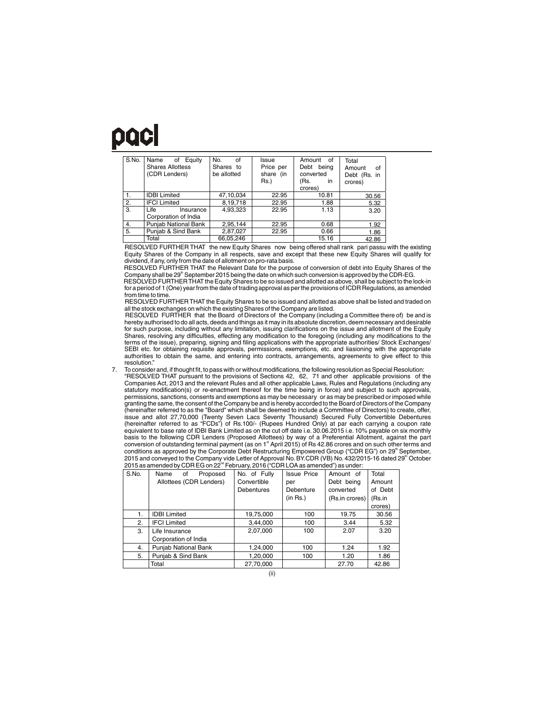## paci

| S.No. | Name<br>Equity<br>of<br><b>Shares Allottess</b><br>(CDR Lenders) | No.<br>of<br>Shares to<br>be allotted | Issue<br>Price per<br>share (in<br>Rs.) | Amount<br>of<br>Debt being<br>converted<br>(Rs.<br>in.<br>crores) | Total<br>Amount<br>of<br>Debt (Rs. in<br>crores) |
|-------|------------------------------------------------------------------|---------------------------------------|-----------------------------------------|-------------------------------------------------------------------|--------------------------------------------------|
| 1.    | <b>IDBI Limited</b>                                              | 47,10,034                             | 22.95                                   | 10.81                                                             | 30.56                                            |
| 2.    | <b>IFCI Limited</b>                                              | 8,19,718                              | 22.95                                   | 1.88                                                              | 5.32                                             |
| 3.    | Life<br>Insurance<br>Corporation of India                        | 4.93.323                              | 22.95                                   | 1.13                                                              | 3.20                                             |
| 4.    | Punjab National Bank                                             | 2,95,144                              | 22.95                                   | 0.68                                                              | 1.92                                             |
| 5.    | Puniab & Sind Bank                                               | 2,87,027                              | 22.95                                   | 0.66                                                              | 1.86                                             |
|       | Total                                                            | 66,05,246                             |                                         | 15.16                                                             | 42.86                                            |

RESOLVED FURTHER THAT the new Equity Shares now being offered shall rank pari passu with the existing Equity Shares of the Company in all respects, save and except that these new Equity Shares will qualify for dividend, if any, only from the date of allotment on pro-rata basis.

RESOLVED FURTHER THAT the Relevant Date for the purpose of conversion of debt into Equity Shares of the Company shall be 29<sup>th</sup> September 2015 being the date on which such conversion is approved by the CDR-EG.

 RESOLVED FURTHER THAT the Equity Shares to be so issued and allotted as above, shall be subject to the lock-in for a period of 1 (One) year from the date of trading approval as per the provisions of ICDR Regulations, as amended from time to time

RESOLVED FURTHER THAT the Equity Shares to be so issued and allotted as above shall be listed and traded on all the stock exchanges on which the existing Shares of the Company are listed.

RESOLVED FURTHER that the Board of Directors of the Company (including a Committee there of) be and is hereby authorised to do all acts, deeds and things as it may in its absolute discretion, deem necessary and desirable for such purpose, including without any limitation, issuing clarifications on the issue and allotment of the Equity<br>Shares, resolving any difficulties, effecting any modification to the foregoing (including any modificatio terms of the issue), preparing, signing and filing applications with the appropriate authorities/ Stock Exchanges/ SEBI etc. for obtaining requisite approvals, permissions, exemptions, etc. and liasioning with the appropriate authorities to obtain the same, and entering into contracts, arrangements, agreements to give effect to this resolution."

7. To consider and, if thought fit, to pass with or without modifications, the following resolution as Special Resolution: "RESOLVED THAT pursuant to the provisions of Sections 42, 62, 71 and other applicable provisions of the Companies Act, 2013 and the relevant Rules and all other applicable Laws, Rules and Regulations (including any statutory modification(s) or re-enactment thereof for the time being in force) and subject to such approvals, permissions, sanctions, consents and exemptions as may be necessary or as may be prescribed or imposed while granting the same, the consent of the Company be and is hereby accorded to the Board of Directors of the Company (hereinafter referred to as the "Board" which shall be deemed to include a Committee of Directors) to create, offer, issue and allot 27,70,000 (Twenty Seven Lacs Seventy Thousand) Secured Fully Convertible Debentures<br>(hereinafter referred to as "FCDs") of Rs.100/- (Rupees Hundred Only) at par each carrying a coupon rate<br>equivalent to bas basis to the following CDR Lenders (Proposed Allottees) by way of a Preferential Allotment, against the part state is the conversion of outstanding terminal payment (as on 1<sup>\*</sup> April 2015) of Rs 42.86 crores and on such other terms and on such other terms and conditions as approved by the Corporate Debt Restructuring Empowered Group ("CDR EG") on 29<sup>th</sup> September,<br>2015 and conveyed to the Company vide Letter of Approval No. BY.CDR (VB) No. 432/2015-16 dated 29<sup>th</sup> October<br>2015

| S.No. | Name<br>of<br>Proposed  | No. of Fully | <b>Issue Price</b> | Amount of      | Total   |
|-------|-------------------------|--------------|--------------------|----------------|---------|
|       | Allottees (CDR Lenders) | Convertible  | per                | Debt being     | Amount  |
|       |                         | Debentures   | Debenture          | converted      | of Debt |
|       |                         |              | (in Rs.)           | (Rs.in crores) | (Rs.in  |
|       |                         |              |                    |                | crores) |
| 1.    | <b>IDBI Limited</b>     | 19,75,000    | 100                | 19.75          | 30.56   |
| 2.    | <b>IFCI Limited</b>     | 3,44,000     | 100                | 3.44           | 5.32    |
| 3.    | Life Insurance          | 2,07,000     | 100                | 2.07           | 3.20    |
|       | Corporation of India    |              |                    |                |         |
| 4.    | Punjab National Bank    | 1,24,000     | 100                | 1.24           | 1.92    |
| 5.    | Punjab & Sind Bank      | 1,20,000     | 100                | 1.20           | 1.86    |
|       | Total                   | 27,70,000    |                    | 27.70          | 42.86   |
|       |                         |              |                    |                |         |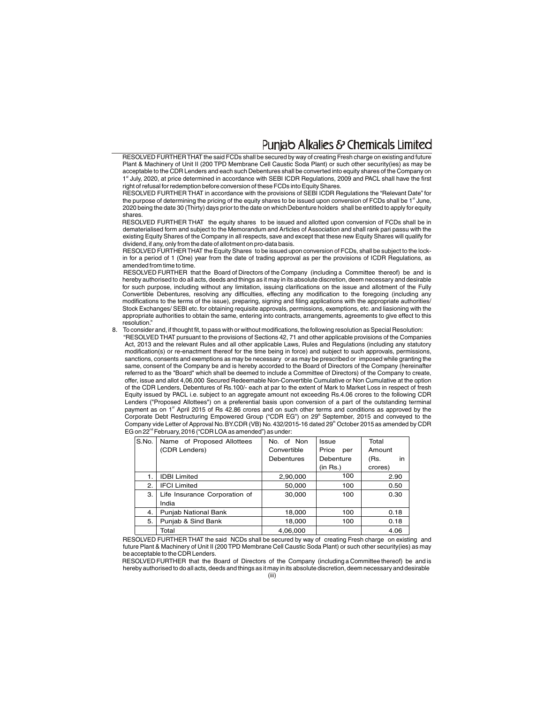### Puniab Alkalies & Chemicals Limited

 RESOLVED FURTHER THAT the said FCDs shall be secured by way of creating Fresh charge on existing and future Plant & Machinery of Unit II (200 TPD Membrane Cell Caustic Soda Plant) or such other security(ies) as may be acceptable to the CDR Lenders and each such Debentures shall be converted into equity shares of the Company on 1<sup>st</sup> July, 2020, at price determined in accordance with SEBI ICDR Regulations, 2009 and PACL shall have the first right of refusal for redemption before conversion of these FCDs into Equity Shares.

RESOLVED FURTHER THAT in accordance with the provisions of SEBI ICDR Regulations the "Relevant Date" for the purpose of determining the pricing of the equity shares to be issued upon conversion of FCDs shall be 1<sup>st</sup> June, 2020 being the date 30 (Thirty) days prior to the date on whichDebenture holders shall be entitled to apply for equity shares.

RESOLVED FURTHER THAT the equity shares to be issued and allotted upon conversion of FCDs shall be in dematerialised form and subject to the Memorandum and Articles of Association and shall rank pari passu with the existing Equity Shares of the Company in all respects, save and except that these new Equity Shares will qualify for dividend, if any, only from the date of allotment on pro-data basis.

RESOLVED FURTHER THAT the Equity Shares to be issued upon conversion of FCDs, shall be subject to the lockin for a period of 1 (One) year from the date of trading approval as per the provisions of ICDR Regulations, as amended from time to time.

RESOLVED FURTHER that the Board of Directors of the Company (including a Committee thereof) be and is hereby authorised to do all acts, deeds and things as it may in its absolute discretion, deem necessary and desirable for such purpose, including without any limitation, issuing clarifications on the issue and allotment of the Fully Convertible Debentures, resolving any difficulties, effecting any modification to the foregoing (including any modifications to the terms of the issue), preparing, signing and filing applications with the appropriate authorities/ Stock Exchanges/ SEBI etc. for obtaining requisite approvals, permissions, exemptions, etc. and liasioning with the appropriate authorities to obtain the same, entering into contracts, arrangements, agreements to give effect to this resolution."

8. To consider and, if thought fit, to pass with or without modifications, the following resolution as Special Resolution:

"RESOLVED THAT pursuant to the provisions of Sections 42, 71 and other applicable provisions of the Companies Act, 2013 and the relevant Rules and all other applicable Laws, Rules and Regulations (including any statutory modification(s) or re-enactment thereof for the time being in force) and subject to such approvals, permissions, sanctions, consents and exemptions as may be necessary or as may be prescribed or imposed while granting the same, consent of the Company be and is hereby accorded to the Board of Directors of the Company (hereinafter referred to as the "Board" which shall be deemed to include a Committee of Directors) of the Company to create, offer, issue and allot 4,06,000 Secured Redeemable Non-Convertible Cumulative or Non Cumulative at the option of the CDR Lenders, Debentures of Rs.100/- each at par to the extent of Mark to Market Loss in respect of fresh Equity issued by PACL i.e. subject to an aggregate amount not exceeding Rs.4.06 crores to the following CDR Lenders ("Proposed Allottees") on a preferential basis upon conversion of a part of the outstanding terminal payment as on 1<sup><sup>st</sup> April 2015 of Rs 42.86 crores and on such other terms and conditions as approved by the</sup> Corporate Debt Restructuring Empowered Group ("CDR EG") on 29<sup>th</sup> September, 2015 and conveyed to the Company vide Letter of Approval No. BY.CDR (VB) No. 432/2015-16 dated 29<sup>th</sup> October 2015 as amended by CDR EG on 22<sup>nd</sup> February, 2016 ("CDR LOA as amended") as under:

| S.No. | Name of Proposed Allottees    | No. of Non  | <b>Issue</b> | Total      |
|-------|-------------------------------|-------------|--------------|------------|
|       | (CDR Lenders)                 | Convertible | Price<br>per | Amount     |
|       |                               | Debentures  | Debenture    | in<br>(Rs. |
|       |                               |             | (in Rs.)     | crores)    |
| 1.    | <b>IDBI Limited</b>           | 2,90,000    | 100          | 2.90       |
| 2.    | <b>IFCI Limited</b>           | 50,000      | 100          | 0.50       |
| З.    | Life Insurance Corporation of | 30,000      | 100          | 0.30       |
|       | India                         |             |              |            |
| 4.    | Punjab National Bank          | 18,000      | 100          | 0.18       |
| 5.    | Punjab & Sind Bank            | 18,000      | 100          | 0.18       |
|       | Total                         | 4,06,000    |              | 4.06       |

RESOLVED FURTHER THAT the said NCDs shall be secured by way of creating Fresh charge on existing and future Plant & Machinery of Unit II (200 TPD Membrane Cell Caustic Soda Plant) or such other security(ies) as may be acceptable to the CDR Lenders.

(iii) RESOLVED FURTHER that the Board of Directors of the Company (including a Committee thereof) be and is hereby authorised to do all acts, deeds and things as it may in its absolute discretion, deem necessary and desirable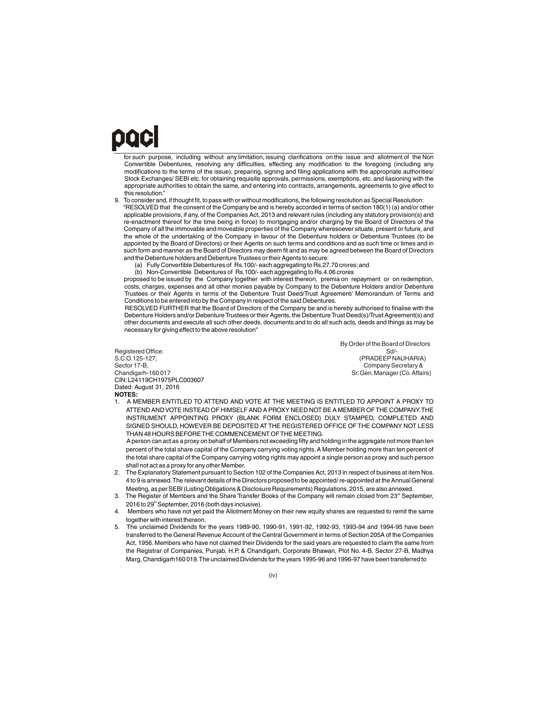## paci

for such purpose, including without any limitation, issuing clarifications on the issue and allotment of the Non Convertible Debentures, resolving any difficulties, effecting any modification to the foregoing (including any modifications to the terms of the issue), preparing, signing and filing applications with the appropriate authorities/ Stock Exchanges/ SEBI etc. for obtaining requisite approvals, permissions, exemptions, etc. and liasioning with the appropriate authorities to obtain the same, and entering into contracts, arrangements, agreements to give effect to this resolution."

9. To consider and, if thought fit, to pass with or without modifications, the following resolution as Special Resolution: "RESOLVED that the consent of the Company be and is hereby accorded in terms of section 180(1) (a) and/or other applicable provisions, if any, of the Companies Act, 2013 and relevant rules (including any statutory provision(s) and re-enactment thereof for the time being in force) to mortgaging and/or charging by the Board of Directors of the Company of all the immovable and moveable properties of the Company wheresoever situate, present or future, and the whole of the undertaking of the Company in favour of the Debenture holders or Debenture Trustees (to be appointed by the Board of Directors) or their Agents on such terms and conditions and as such time or times and in such form and manner as the Board of Directors may deem fit and as may be agreed between the Board of Directors and the Debenture holders and Debenture Trustees or their Agents to secure:

(a) Fully Convertible Debentures of Rs.100/- each aggregating to Rs.27.70 crores;and

(b) Non-Convertible Debentures of Rs.100/- each aggregating to Rs.4.06 crores

proposed to be issued by the Company together with interest thereon, premia on repayment or on redemption, costs, charges, expenses and all other monies payable by Company to the Debenture Holders and/or Debenture Trustees or their Agents in terms of the Debenture Trust Deed/Trust Agreement/ Memorandum of Terms and Conditions to be entered into by the Company in respect of the said Debentures.

RESOLVED FURTHER that the Board of Directors of the Company be and is hereby authorised to finalise with the Debenture Holders and/or Debenture Trustees or their Agents, the Debenture Trust Deed(s)/Trust Agreement(s) and other documents and execute all such other deeds, documents and to do all such acts, deeds and things as may be necessary for giving effect to the above resolution"

CIN:L24119CH1975PLC003607 Dated: August 31, 2016 **NOTES:** Registered Office:<br>S.C.O.125-127. S.C.O.125-127, (PRADEEP NAUHARIA) (CONSECTED ACCO.125-127, (PRADEEP NAUHARIA) (Company Secretary & Sector 17-B, Company Secretary & Company Secretary & Company Secretary & Company Secretary & Chandigarh-160 017

By Order of the Board of Directors

Sr. Gen. Manager (Co. Affairs)

1. A MEMBER ENTITLED TO ATTEND AND VOTE AT THE MEETING IS ENTITLED TO APPOINT A PROXY TO ATTEND AND VOTE INSTEAD OF HIMSELF AND A PROXY NEED NOT BE A MEMBER OF THE COMPANY.THE INSTRUMENT APPOINTING PROXY (BLANK FORM ENCLOSED) DULY STAMPED, COMPLETED AND SIGNED SHOULD, HOWEVER BE DEPOSITED AT THE REGISTERED OFFICE OF THE COMPANY NOT LESS THAN 48 HOURS BEFORE THE COMMENCEMENT OF THE MEETING.

A person can act as a proxy on behalf of Members not exceeding fifty and holding in the aggregate not more than ten percent of the total share capital of the Company carrying voting rights.A Member holding more than ten percent of the total share capital of the Company carrying voting rights may appoint a single person as proxy and such person shall not act as a proxy for any other Member.

- 2. The Explanatory Statement pursuant to Section 102 of the Companies Act, 2013 in respect of business at item Nos. 4 to 9 is annexed.The relevant details of the Directors proposed to be appointed/ re-appointed at the Annual General Meeting, as per SEBI (Listing Obligations & Disclosure Requirements) Regulations, 2015, are also annexed.
- 3. The Register of Members and the Share Transfer Books of the Company will remain closed from 23<sup>rd</sup> September,  $2016$  to  $29<sup>th</sup>$  September, 2016 (both days inclusive).
- Members who have not yet paid the Allotment Money on their new equity shares are requested to remit the same together with interest thereon.
- 5. The unclaimed Dividends for the years 1989-90, 1990-91, 1991-92, 1992-93, 1993-94 and 1994-95 have been transferred to the General Revenue Account of the Central Government in terms of Section 205A of the Companies Act, 1956. Members who have not claimed their Dividends for the said years are requested to claim the same from the Registrar of Companies, Punjab, H.P. & Chandigarh, Corporate Bhawan, Plot No. 4-B, Sector 27-B, Madhya Marg, Chandigarh160 019.The unclaimed Dividends for the years 1995-96 and 1996-97 have been transferred to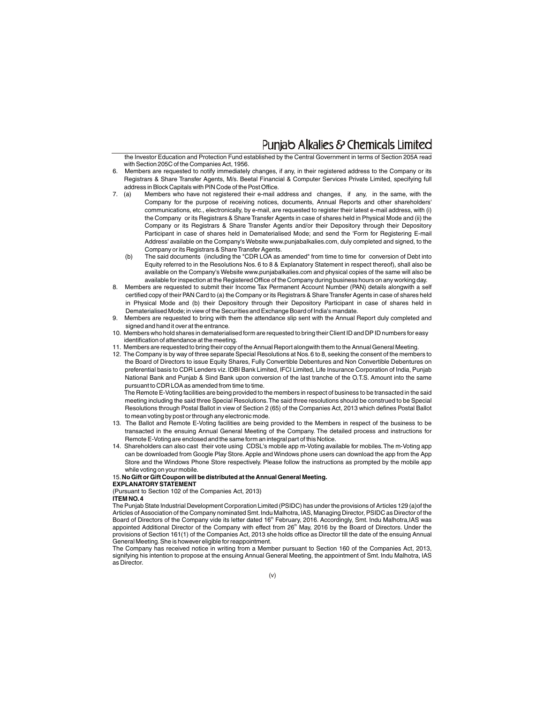### Puniab Alkalies & Chemicals Limited

the Investor Education and Protection Fund established by the Central Government in terms of Section 205A read with Section 205C of the Companies Act, 1956.

- 6. Members are requested to notify immediately changes, if any, in their registered address to the Company or its Registrars & Share Transfer Agents, M/s. Beetal Financial & Computer Services Private Limited, specifying full address in Block Capitals with PIN Code of the Post Office.<br>7. (a) Members who have not registered their e-mail a
- Members who have not registered their e-mail address and changes, if any, in the same, with the Company for the purpose of receiving notices, documents, Annual Reports and other shareholders' communications, etc., electronically, by e-mail, are requested to register their latest e-mail address, with (i) the Company or its Registrars & Share Transfer Agents in case of shares held in Physical Mode and (ii) the Company or its Registrars & Share Transfer Agents and/or their Depository through their Depository Participant in case of shares held in Dematerialised Mode; and send the 'Form for Registering E-mail Address' available on the Company's Website www.punjabalkalies.com, duly completed and signed, to the Company or its Registrars & Share Transfer Agents.
	- (b) The said documents (including the "CDR LOA as amended" from time to time for conversion of Debt into Equity referred to in the Resolutions Nos. 6 to 8 & Explanatory Statement in respect thereof), shall also be available on the Company's Website www.punjabalkalies.com and physical copies of the same will also be available for inspection at the Registered Office of the Company during business hours on any working day.
- 8. Members are requested to submit their Income Tax Permanent Account Number (PAN) details alongwith a self certified copy of their PAN Card to (a) the Company or its Registrars & Share Transfer Agents in case of shares held in Physical Mode and (b) their Depository through their Depository Participant in case of shares held in Dematerialised Mode;in view of the Securities and Exchange Board of India's mandate.
- 9. Members are requested to bring with them the attendance slip sent with the Annual Report duly completed and signed and hand it over at the entrance.
- 10. Members who hold shares in dematerialised form are requested to bring their Client ID and DP ID numbers for easy identification of attendance at the meeting.
- 11. Members are requested to bring their copy of the Annual Report alongwith them to the Annual General Meeting.
- 12. The Company is by way of three separate Special Resolutions at Nos.6 to 8, seeking the consent of the members to the Board of Directors to issue Equity Shares, Fully Convertible Debentures and Non Convertible Debentures on preferential basis to CDR Lenders viz. IDBI Bank Limited, IFCI Limited, Life Insurance Corporation of India, Punjab National Bank and Punjab & Sind Bank upon conversion of the last tranche of the O.T.S. Amount into the same pursuant to CDR LOA as amended from time to time.

 The Remote E-Voting facilities are being provided to the members in respect of business to be transacted in the said meeting including the said three Special Resolutions.The said three resolutions should be construed to be Special Resolutions through Postal Ballot in view of Section 2 (65) of the Companies Act, 2013 which defines Postal Ballot to mean voting by post or through any electronic mode.

- 13. The Ballot and Remote E-Voting facilities are being provided to the Members in respect of the business to be transacted in the ensuing Annual General Meeting of the Company. The detailed process and instructions for Remote E-Voting are enclosed and the same form an integral part of this Notice.
- 14. Shareholders can also cast their vote using CDSL's mobile app m-Voting available for mobiles.The m-Voting app can be downloaded from Google Play Store. Apple and Windows phone users can download the app from the App Store and the Windows Phone Store respectively. Please follow the instructions as prompted by the mobile app while voting on your mobile.

#### 15.**No Gift or Gift Coupon will be distributed at the Annual General Meeting.**

#### **EXPLANATORY STATEMENT**

(Pursuant to Section 102 of the Companies Act, 2013)

#### **ITEM NO.4**

The Punjab State Industrial Development Corporation Limited (PSIDC) has under the provisions of Articles 129 (a)of the Articles of Association of the Company nominated Smt.Indu Malhotra, IAS, Managing Director, PSIDC as Director of the Board of Directors of the Company vide its letter dated 16<sup>th</sup> February, 2016. Accordingly, Smt. Indu Malhotra,IAS was appointed Additional Director of the Company with effect from 26<sup>th</sup> May, 2016 by the Board of Directors. Under the provisions of Section 161(1) of the Companies Act, 2013 she holds office as Director till the date of the ensuing Annual General Meeting.She is however eligible for reappointment.

The Company has received notice in writing from a Member pursuant to Section 160 of the Companies Act, 2013, signifying his intention to propose at the ensuing Annual General Meeting, the appointment of Smt. Indu Malhotra, IAS as Director.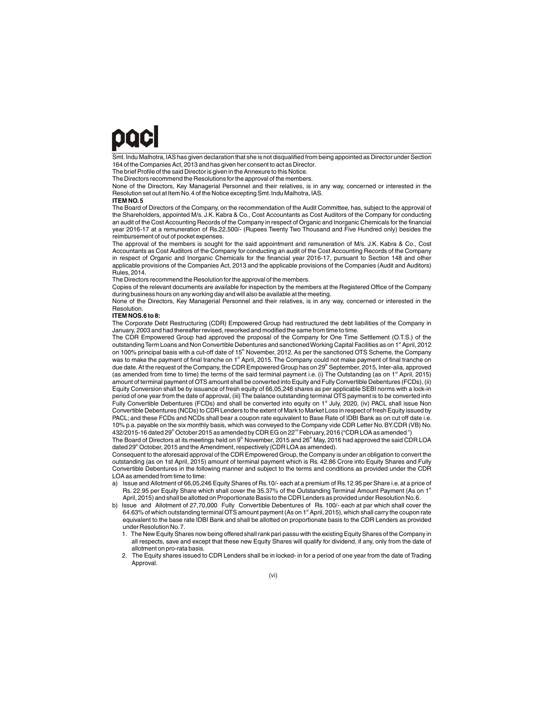## paci

Smt.Indu Malhotra, IAS has given declaration that she is not disqualified from being appointed as Director under Section 164 of the Companies Act, 2013 and has given her consent to act as Director.

The brief Profile of the said Director is given in the Annexure to this Notice.

The Directors recommend the Resolutions for the approval of the members.

None of the Directors, Key Managerial Personnel and their relatives, is in any way, concerned or interested in the Resolution set out at Item No.4 of the Notice excepting Smt.Indu Malhotra, IAS.

#### **ITEM NO.5**

The Board of Directors of the Company, on the recommendation of the Audit Committee, has, subject to the approval of the Shareholders, appointed M/s. J.K. Kabra & Co., Cost Accountants as Cost Auditors of the Company for conducting an audit of the Cost Accounting Records of the Company in respect of Organic and Inorganic Chemicals for the financial year 2016-17 at a remuneration of Rs.22,500/- (Rupees Twenty Two Thousand and Five Hundred only) besides the reimbursement of out of pocket expenses.

The approval of the members is sought for the said appointment and remuneration of M/s. J.K. Kabra & Co., Cost Accountants as Cost Auditors of the Company for conducting an audit of the Cost Accounting Records of the Company in respect of Organic and Inorganic Chemicals for the financial year 2016-17, pursuant to Section 148 and other applicable provisions of the Companies Act, 2013 and the applicable provisions of the Companies (Audit and Auditors) Rules, 2014.

The Directors recommend the Resolution for the approval of the members.

Copies of the relevant documents are available for inspection by the members at the Registered Office of the Company during business hours on any working day and will also be available at the meeting.

None of the Directors, Key Managerial Personnel and their relatives, is in any way, concerned or interested in the Resolution.

#### **ITEM NOS.6 to 8:**

The Corporate Debt Restructuring (CDR) Empowered Group had restructured the debt liabilities of the Company in January, 2003 and had thereafter revised, reworked and modified the same from time to time.

The CDR Empowered Group had approved the proposal of the Company for One Time Settlement (O.T.S.) of the outstanding Term Loans and Non Convertible Debentures and sanctioned Working Capital Facilities as on 1<sup>st</sup> April, 2012 on 100% principal basis with a cut-off date of 15<sup>th</sup> November, 2012. As per the sanctioned OTS Scheme, the Company was to make the payment of final tranche on 1<sup>st</sup> April, 2015. The Company could not make payment of final tranche on due date. At the request of the Company, the CDR Empowered Group has on 29<sup>th</sup> September, 2015, Inter-alia, approved (as amended from time to time) the terms of the said terminal payment i.e. (i) The Outstanding (as on 1<sup>®</sup> April, 2015) amount of terminal payment of OTS amount shall be converted into Equity and Fully Convertible Debentures (FCDs), (ii) Equity Conversion shall be by issuance of fresh equity of 66,05,246 shares as per applicable SEBI norms with a lock-in period of one year from the date of approval, (iii) The balance outstanding terminal OTS payment is to be converted into Fully Convertible Debentures (FCDs) and shall be converted into equity on 1<sup>st</sup> July, 2020, (iv) PACL shall issue Non Convertible Debentures (NCDs) to CDR Lenders to the extent of Mark to Market Loss in respect of fresh Equity issued by PACL; and these FCDs and NCDs shall bear a coupon rate equivalent to Base Rate of IDBI Bank as on cut off date i.e. 10% p.a. payable on the six monthly basis, which was conveyed to the Company vide CDR Letter No.BY.CDR (VB) No. 432/2015-16 dated 29<sup>th</sup> October 2015 as amended by CDR EG on 22<sup>nd</sup> February, 2016 ("CDR LOA as amended")

The Board of Directors at its meetings held on  $9^{\text{th}}$  November, 2015 and 26 $^{\text{th}}$  May, 2016 had approved the said CDR LOA dated 29<sup>th</sup> October, 2015 and the Amendment, respectively (CDR LOA as amended).

Consequent to the aforesaid approval of the CDR Empowered Group, the Company is under an obligation to convert the outstanding (as on 1st April, 2015) amount of terminal payment which is Rs. 42.86 Crore into Equity Shares and Fully Convertible Debentures in the following manner and subject to the terms and conditions as provided under the CDR LOA as amended from time to time:

- a) Issue and Allotment of 66,05,246 Equity Shares of Rs.10/- each at a premium of Rs.12.95 per Share i.e.at a price of Rs. 22.95 per Equity Share which shall cover the 35.37% of the Outstanding Terminal Amount Payment (As on 1<sup>st</sup> April, 2015) and shall be allotted on Proportionate Basis to the CDR Lenders as provided under Resolution No.6.
- b) Issue and Allotment of 27,70,000 Fully Convertible Debentures of Rs. 100/- each at par which shall cover the 64.63% of which outstanding terminal OTS amount payment (As on 1<sup>st</sup> April, 2015), which shall carry the coupon rate equivalent to the base rate IDBI Bank and shall be allotted on proportionate basis to the CDR Lenders as provided under Resolution No.7.
	- 1. The New Equity Shares now being offered shall rank pari passu with the existing Equity Shares of the Company in all respects, save and except that these new Equity Shares will qualify for dividend, if any, only from the date of allotment on pro-rata basis.
	- 2. The Equity shares issued to CDR Lenders shall be in locked- in for a period of one year from the date of Trading Approval.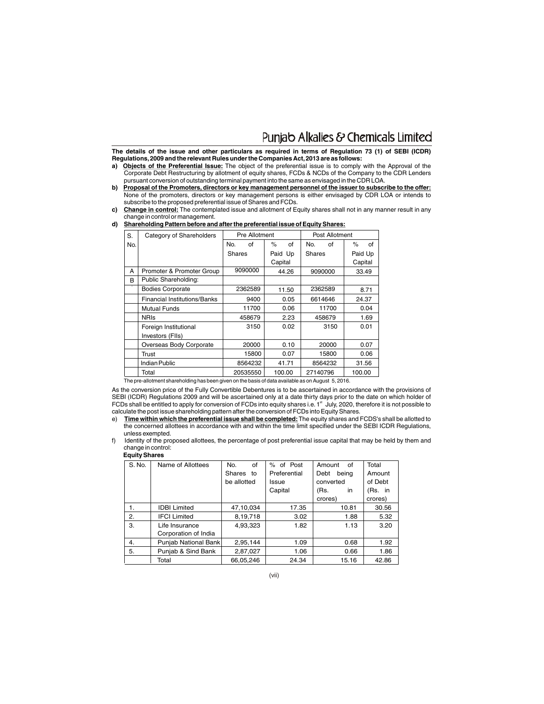### Punjab Alkalies & Chemicals Limited

**The details of the issue and other particulars as required in terms of Regulation 73 (1) of SEBI (ICDR) Regulations,2009 and the relevant Rules under the Companies Act,2013 are as follows:**

- **a) Objects of the Preferential Issue:** The object of the preferential issue is to comply with the Approval of the Corporate Debt Restructuring by allotment of equity shares, FCDs & NCDs of the Company to the CDR Lenders pursuant conversion of outstanding terminal payment into the same as envisaged in the CDR LOA.
- **b) Proposal of the Promoters, directors or key management personnel of the issuer to subscribe to the offer:** None of the promoters, directors or key management persons is either envisaged by CDR LOA or intends to subscribe to the proposed preferential issue of Shares and FCDs.
- **c) Change in control:** The contemplated issue and allotment of Equity shares shall not in any manner result in any change in control or management.

**d) Shareholding Pattern before and after the preferential issue of Equity Shares:**

| S.  | Category of Shareholders     | Pre Allotment |          |         | Post Allotment |          |         |         |         |
|-----|------------------------------|---------------|----------|---------|----------------|----------|---------|---------|---------|
| No. |                              | No.           | οf       | $\%$    | of             | No.      | of      | $\%$    | of      |
|     |                              | Shares        |          | Paid Up |                | Shares   |         |         | Paid Up |
|     |                              |               |          | Capital |                |          |         | Capital |         |
| А   | Promoter & Promoter Group    |               | 9090000  |         | 44.26          |          | 9090000 |         | 33.49   |
| B   | Public Shareholding:         |               |          |         |                |          |         |         |         |
|     | <b>Bodies Corporate</b>      |               | 2362589  |         | 11.50          |          | 2362589 |         | 8.71    |
|     | Financial Institutions/Banks |               | 9400     |         | 0.05           |          | 6614646 |         | 24.37   |
|     | Mutual Funds                 |               | 11700    |         | 0.06           |          | 11700   |         | 0.04    |
|     | <b>NRIs</b>                  |               | 458679   |         | 2.23           |          | 458679  |         | 1.69    |
|     | Foreign Institutional        |               | 3150     |         | 0.02           |          | 3150    |         | 0.01    |
|     | Investors (FIIs)             |               |          |         |                |          |         |         |         |
|     | Overseas Body Corporate      |               | 20000    |         | 0.10           |          | 20000   |         | 0.07    |
|     | Trust                        |               | 15800    |         | 0.07           |          | 15800   |         | 0.06    |
|     | Indian Public                |               | 8564232  |         | 41.71          |          | 8564232 |         | 31.56   |
|     | Total                        |               | 20535550 |         | 100.00         | 27140796 |         | 100.00  |         |

The pre-allotment shareholding has been given on the basis of data available as on August 5, 2016.

As the conversion price of the Fully Convertible Debentures is to be ascertained in accordance with the provisions of SEBI (ICDR) Regulations 2009 and will be ascertained only at a date thirty days prior to the date on which holder of FCDs shall be entitled to apply for conversion of FCDs into equity shares i.e. 1<sup>st</sup> July, 2020, therefore it is not possible to calculate the post issue shareholding pattern after the conversion of FCDs into Equity Shares.

e) **Time within which the preferential issue shall be completed:**The equity shares and FCDS's shall be allotted to the concerned allottees in accordance with and within the time limit specified under the SEBI ICDR Regulations, unless exempted.

f) Identity of the proposed allottees, the percentage of post preferential issue capital that may be held by them and change in control:  **Equity Shares**

| S. No. | Name of Allottees    | No.<br>of   | % of Post    | Amount<br>of  | Total   |
|--------|----------------------|-------------|--------------|---------------|---------|
|        |                      | Shares to   | Preferential | Debt<br>being | Amount  |
|        |                      | be allotted | Issue        | converted     | of Debt |
|        |                      |             | Capital      | in<br>(Rs.    | (Rs. in |
|        |                      |             |              | crores)       | crores) |
| 1.     | <b>IDBI Limited</b>  | 47,10,034   | 17.35        | 10.81         | 30.56   |
| 2.     | <b>IFCI Limited</b>  | 8,19,718    | 3.02         | 1.88          | 5.32    |
| 3.     | Life Insurance       | 4,93,323    | 1.82         | 1.13          | 3.20    |
|        | Corporation of India |             |              |               |         |
| 4.     | Punjab National Bank | 2,95,144    | 1.09         | 0.68          | 1.92    |
| 5.     | Punjab & Sind Bank   | 2,87,027    | 1.06         | 0.66          | 1.86    |
|        | Total                | 66,05,246   | 24.34        | 15.16         | 42.86   |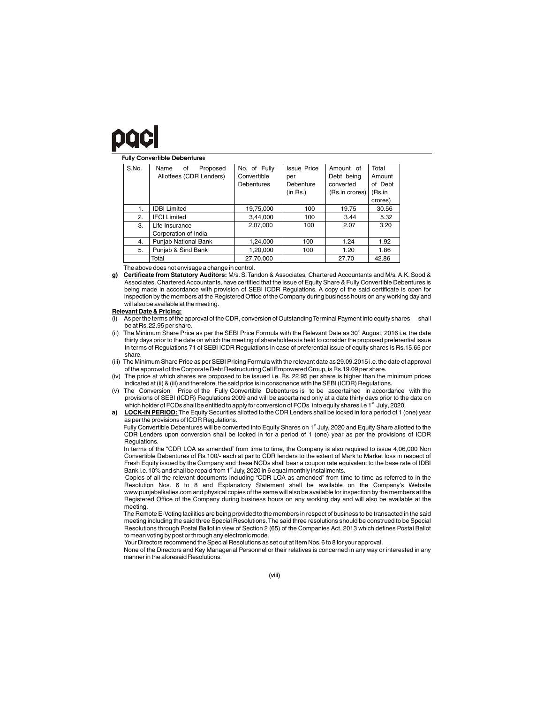## DQC

#### **Fully Convertible Debentures**

| S.No. | Proposed<br>Name<br>of<br>Allottees (CDR Lenders) | No. of Fully<br>Convertible<br>Debentures | <b>Issue Price</b><br>per<br>Debenture<br>(in Rs.) | Amount of<br>Debt being<br>converted<br>(Rs.in crores) | Total<br>Amount<br>of Debt<br>(Rs.in |
|-------|---------------------------------------------------|-------------------------------------------|----------------------------------------------------|--------------------------------------------------------|--------------------------------------|
|       |                                                   |                                           |                                                    |                                                        | crores)                              |
| 1.    | <b>IDBI Limited</b>                               | 19,75,000                                 | 100                                                | 19.75                                                  | 30.56                                |
| 2.    | <b>IFCI Limited</b>                               | 3,44,000                                  | 100                                                | 3.44                                                   | 5.32                                 |
| 3.    | Life Insurance<br>Corporation of India            | 2,07,000                                  | 100                                                | 2.07                                                   | 3.20                                 |
| 4.    | Punjab National Bank                              | 1,24,000                                  | 100                                                | 1.24                                                   | 1.92                                 |
| 5.    | Punjab & Sind Bank                                | 1.20.000                                  | 100                                                | 1.20                                                   | 1.86                                 |
|       | Total                                             | 27,70,000                                 |                                                    | 27.70                                                  | 42.86                                |

The above does not envisage a change in control.

**g) Certificate from Statutory Auditors:** M/s. S.Tandon & Associates, Chartered Accountants and M/s. A.K. Sood & Associates, Chartered Accountants, have certified that the issue of Equity Share & Fully Convertible Debentures is being made in accordance with provision of SEBI ICDR Regulations. A copy of the said certificate is open for inspection by the members at the Registered Office of the Company during business hours on any working day and will also be available at the meeting.

#### **Relevant Date & Pricing:**

- (i) As per the terms of the approval of the CDR, conversion of Outstanding Terminal Payment into equity shares shall be at Rs.22.95 per share.
- The Minimum Share Price as per the SEBI Price Formula with the Relevant Date as 30<sup>th</sup> August, 2016 i.e. the date thirty days prior to the date on which the meeting of shareholders is held to consider the proposed preferential issue In terms of Regulations 71 of SEBI ICDR Regulations in case of preferential issue of equity shares is Rs.15.65 per share.
- (iii) The Minimum Share Price as per SEBI Pricing Formula with the relevant date as 29.09.2015 i.e.the date of approval of the approval of the Corporate Debt Restructuring Cell Empowered Group, is Rs.19.09 per share.
- (iv) The price at which shares are proposed to be issued i.e. Rs. 22.95 per share is higher than the minimum prices indicated at (ii) & (iii) and therefore, the said price is in consonance with the SEBI (ICDR) Regulations.
- (v) The Conversion Price of the Fully Convertible Debentures is to be ascertained in accordance with the provisions of SEBI (ICDR) Regulations 2009 and will be ascertained only at a date thirty days prior to the date on which holder of FCDs shall be entitled to apply for conversion of FCDs into equity shares i.e 1<sup>st</sup> July, 2020.
- **a) LOCK-IN PERIOD:** The Equity Securities allotted to the CDR Lenders shall be locked in for a period of 1 (one) year as per the provisions of ICDR Regulations.

Fully Convertible Debentures will be converted into Equity Shares on 1<sup>st</sup> July, 2020 and Equity Share allotted to the CDR Lenders upon conversion shall be locked in for a period of 1 (one) year as per the provisions of ICDR Regulations.

In terms of the "CDR LOA as amended" from time to time, the Company is also required to issue 4,06,000 Non Convertible Debentures of Rs.100/- each at par to CDR lenders to the extent of Mark to Market loss in respect of Fresh Equity issued by the Company and these NCDs shall bear a coupon rate equivalent to the base rate of IDBI Bank i.e. 10% and shall be repaid from 1<sup>st</sup> July, 2020 in 6 equal monthly installments.

Copies of all the relevant documents including "CDR LOA as amended" from time to time as referred to in the Resolution Nos. 6 to 8 and Explanatory Statement shall be available on the Company's Website www.punjabalkalies.com and physical copies of the same will also be available for inspection by the members at the Registered Office of the Company during business hours on any working day and will also be available at the meeting.

 The Remote E-Voting facilities are being provided to the members in respect of business to be transacted in the said meeting including the said three Special Resolutions.The said three resolutions should be construed to be Special Resolutions through Postal Ballot in view of Section 2 (65) of the Companies Act, 2013 which defines Postal Ballot to mean voting by post or through any electronic mode.

Your Directors recommend the Special Resolutions as set out at Item Nos.6 to 8 for your approval.

None of the Directors and Key Managerial Personnel or their relatives is concerned in any way or interested in any manner in the aforesaid Resolutions.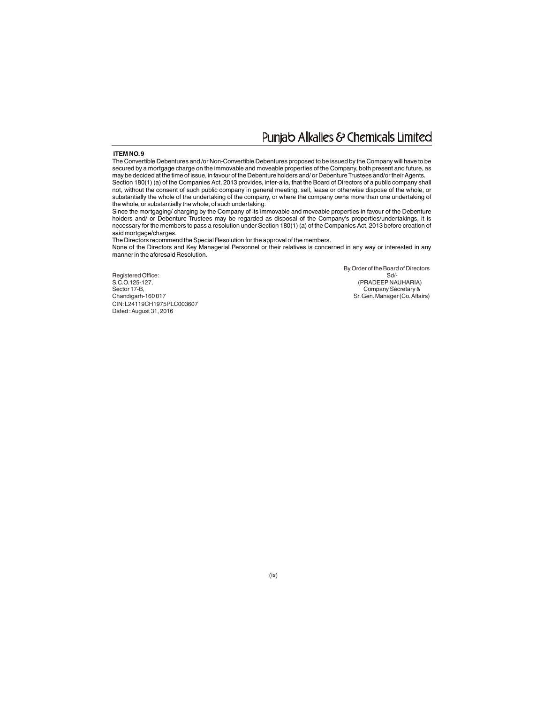### Punjab Alkalies & Chemicals Limited

#### **ITEM NO.9**

The Convertible Debentures and /or Non-Convertible Debentures proposed to be issued by the Company will have to be secured by a mortgage charge on the immovable and moveable properties of the Company, both present and future, as may be decided at the time of issue, in favour of the Debenture holders and/ or Debenture Trustees and/or their Agents. Section 180(1) (a) of the Companies Act, 2013 provides, inter-alia, that the Board of Directors of a public company shall not, without the consent of such public company in general meeting, sell, lease or otherwise dispose of the whole, or substantially the whole of the undertaking of the company, or where the company owns more than one undertaking of the whole, or substantially the whole, of such undertaking.

Since the mortgaging/ charging by the Company of its immovable and moveable properties in favour of the Debenture holders and/ or Debenture Trustees may be regarded as disposal of the Company's properties/undertakings, it is necessary for the members to pass a resolution under Section 180(1) (a) of the Companies Act, 2013 before creation of said mortgage/charges.

The Directors recommend the Special Resolution for the approval of the members.

None of the Directors and Key Managerial Personnel or their relatives is concerned in any way or interested in any manner in the aforesaid Resolution.

By Order of the Board of Directors<br>Sd/-

Registered Office:<br>S.C.O.125-127, S.C.O.125-127, C.O.125-127, C.O.125-127, C.O.125-127, C.O.125-127, C.O.125-127, C.O.125-127, C.O.125-127, C.O.125-127, C.O.125-127, C.O.125-127, C.O.125-127, C.O.125-127, C.O.125-127, C.O.125-127, C.O.125-127, C.O.125-127, Sector 17-B, Company Secretary & Chandigarh-160 017 Sr.Gen.Manager (Co.Affairs) CIN:L24119CH1975PLC003607 Dated: August 31, 2016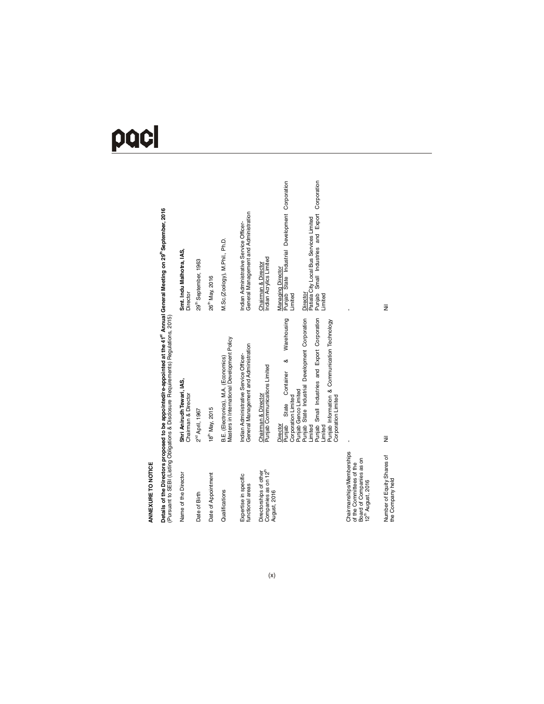# pacl

Details of the Directors proposed to be appointed/re-appointed at the 41<sup>st</sup> Annual General Meeting on 29<sup>st</sup>September, 2016<br>(Pursuant to SEBI (Listing Obligations & Disclosure Requirements) Regulations, 2015) Details of the Directors proposed to be appointed/re-appointed at the 41<sup>st</sup> Annual General Meeting on 29<sup>th</sup> September, 2016 (Pursuant to SEBI (Listing Obligations & Disclosure Requirements) Regulations, 2015)

| Name of the Director                                                                                               | Shri Anirudh Tewari, IAS,<br>Chairman & Director                                                                                                                                                                                                                                                                                               | Smt. Indu Malhotra, IAS,<br>Director                                                                                                                                                                                                                        |
|--------------------------------------------------------------------------------------------------------------------|------------------------------------------------------------------------------------------------------------------------------------------------------------------------------------------------------------------------------------------------------------------------------------------------------------------------------------------------|-------------------------------------------------------------------------------------------------------------------------------------------------------------------------------------------------------------------------------------------------------------|
| Date of Birth                                                                                                      | 2 <sup>nd</sup> April, 1967                                                                                                                                                                                                                                                                                                                    | 29th September, 1963                                                                                                                                                                                                                                        |
| Date of Appointment                                                                                                | 18 <sup>th</sup> May, 2015                                                                                                                                                                                                                                                                                                                     | 26 <sup>th</sup> May, 2016                                                                                                                                                                                                                                  |
| Qualifications                                                                                                     | Masters in International Development Policy<br>B.E. (Electronics), M.A. (Economics)                                                                                                                                                                                                                                                            | M.Sc.(Zoology), M.Phil., Ph.D.                                                                                                                                                                                                                              |
| Expertise in specific<br>functional areas                                                                          | General Management and Administration<br>Indian Administrative Service Officer-                                                                                                                                                                                                                                                                | General Management and Administration<br>Indian Administrative Service Officer-                                                                                                                                                                             |
| Companies as on 12 <sup>th</sup><br>Directorships of other<br>August, 2016                                         | Punjab State Industrial Development Corporation<br>Punjab Small Industries and Export Corporation<br>Warehousing<br>Punjab Information & Communication Technology<br>∞<br>Chairman & Director<br>Punjab Communications Limited<br>Container<br>Punjab Genco Limited<br>Corporation Limited<br>State<br>Punjab<br>Director<br>Limited<br>imited | Punjab Small Industries and Export Corporation<br>Punjab State Industrial Development Corporation<br>Patiala City Local Bus Services Limited<br>Indian Acrylics Limited<br>Chairman & Director<br><b>Managing Director</b><br>Director<br>imited<br>Limited |
| Chairmanships/Memberships<br>Board of Companies as on<br>of the Committees of the<br>12 <sup>th</sup> August, 2016 | Corporation Limited                                                                                                                                                                                                                                                                                                                            |                                                                                                                                                                                                                                                             |
| Number of Equity Shares of<br>the Company held                                                                     | Ξ                                                                                                                                                                                                                                                                                                                                              | ž                                                                                                                                                                                                                                                           |